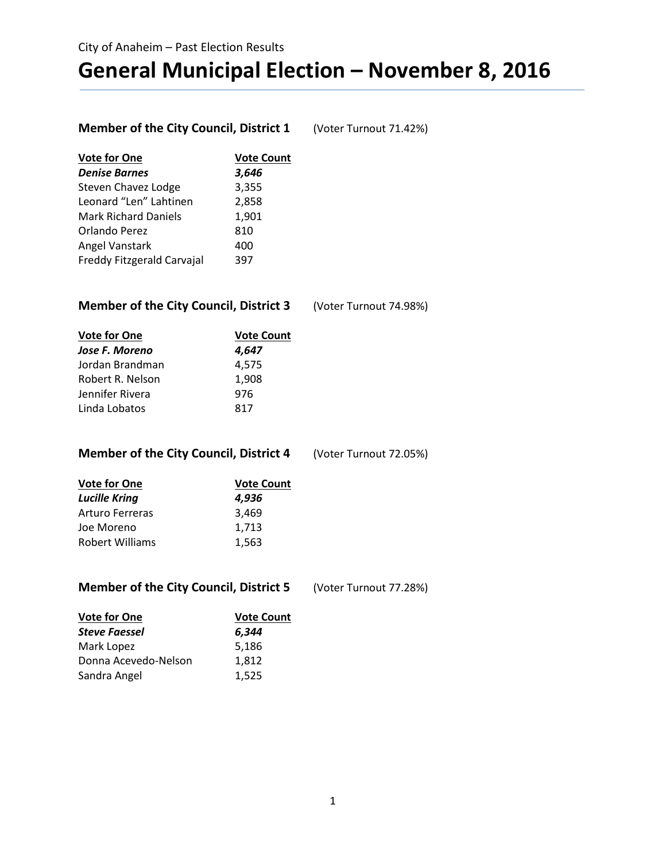# **General Municipal Election – November 8, 2016**

### **Member of the City Council, District 1** (Voter Turnout 71.42%)

| <b>Vote for One</b>         | <b>Vote Count</b> |
|-----------------------------|-------------------|
| <b>Denise Barnes</b>        | 3,646             |
| <b>Steven Chavez Lodge</b>  | 3,355             |
| Leonard "Len" Lahtinen      | 2,858             |
| <b>Mark Richard Daniels</b> | 1,901             |
| Orlando Perez               | 810               |
| Angel Vanstark              | 400               |
| Freddy Fitzgerald Carvajal  | 397               |
|                             |                   |

#### **Member of the City Council, District 3** (Voter Turnout 74.98%)

| <b>Vote for One</b> | <b>Vote Count</b> |  |
|---------------------|-------------------|--|
| Jose F. Moreno      | 4,647             |  |
| Jordan Brandman     | 4,575             |  |
| Robert R. Nelson    | 1.908             |  |
| Jennifer Rivera     | 976               |  |
| Linda Lobatos       | 817               |  |

#### **Member of the City Council, District 4** (Voter Turnout 72.05%)

| <b>Vote for One</b><br><b>Lucille Kring</b> | <b>Vote Count</b> |  |
|---------------------------------------------|-------------------|--|
|                                             | 4,936             |  |
| <b>Arturo Ferreras</b>                      | 3,469             |  |
| Joe Moreno                                  | 1,713             |  |
| <b>Robert Williams</b>                      | 1,563             |  |

| <b>Member of the City Council, District 5</b> | (Voter Turnout 77.28%) |
|-----------------------------------------------|------------------------|
|-----------------------------------------------|------------------------|

| <b>Vote for One</b>  | <b>Vote Count</b> |  |
|----------------------|-------------------|--|
| <b>Steve Faessel</b> | 6,344             |  |
| Mark Lopez           | 5,186             |  |
| Donna Acevedo-Nelson | 1.812             |  |
| Sandra Angel         | 1,525             |  |